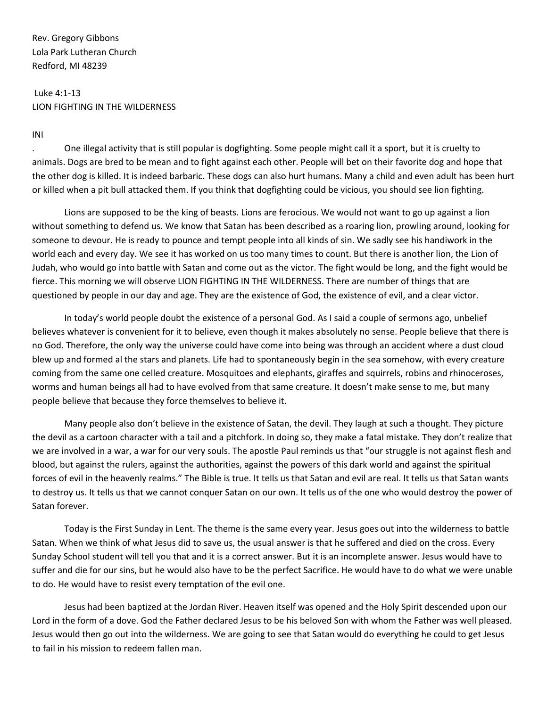Rev. Gregory Gibbons Lola Park Lutheran Church Redford, MI 48239

## Luke 4:1-13 LION FIGHTING IN THE WILDERNESS

INI

. One illegal activity that is still popular is dogfighting. Some people might call it a sport, but it is cruelty to animals. Dogs are bred to be mean and to fight against each other. People will bet on their favorite dog and hope that the other dog is killed. It is indeed barbaric. These dogs can also hurt humans. Many a child and even adult has been hurt or killed when a pit bull attacked them. If you think that dogfighting could be vicious, you should see lion fighting.

Lions are supposed to be the king of beasts. Lions are ferocious. We would not want to go up against a lion without something to defend us. We know that Satan has been described as a roaring lion, prowling around, looking for someone to devour. He is ready to pounce and tempt people into all kinds of sin. We sadly see his handiwork in the world each and every day. We see it has worked on us too many times to count. But there is another lion, the Lion of Judah, who would go into battle with Satan and come out as the victor. The fight would be long, and the fight would be fierce. This morning we will observe LION FIGHTING IN THE WILDERNESS. There are number of things that are questioned by people in our day and age. They are the existence of God, the existence of evil, and a clear victor.

In today's world people doubt the existence of a personal God. As I said a couple of sermons ago, unbelief believes whatever is convenient for it to believe, even though it makes absolutely no sense. People believe that there is no God. Therefore, the only way the universe could have come into being was through an accident where a dust cloud blew up and formed al the stars and planets. Life had to spontaneously begin in the sea somehow, with every creature coming from the same one celled creature. Mosquitoes and elephants, giraffes and squirrels, robins and rhinoceroses, worms and human beings all had to have evolved from that same creature. It doesn't make sense to me, but many people believe that because they force themselves to believe it.

Many people also don't believe in the existence of Satan, the devil. They laugh at such a thought. They picture the devil as a cartoon character with a tail and a pitchfork. In doing so, they make a fatal mistake. They don't realize that we are involved in a war, a war for our very souls. The apostle Paul reminds us that "our struggle is not against flesh and blood, but against the rulers, against the authorities, against the powers of this dark world and against the spiritual forces of evil in the heavenly realms." The Bible is true. It tells us that Satan and evil are real. It tells us that Satan wants to destroy us. It tells us that we cannot conquer Satan on our own. It tells us of the one who would destroy the power of Satan forever.

Today is the First Sunday in Lent. The theme is the same every year. Jesus goes out into the wilderness to battle Satan. When we think of what Jesus did to save us, the usual answer is that he suffered and died on the cross. Every Sunday School student will tell you that and it is a correct answer. But it is an incomplete answer. Jesus would have to suffer and die for our sins, but he would also have to be the perfect Sacrifice. He would have to do what we were unable to do. He would have to resist every temptation of the evil one.

Jesus had been baptized at the Jordan River. Heaven itself was opened and the Holy Spirit descended upon our Lord in the form of a dove. God the Father declared Jesus to be his beloved Son with whom the Father was well pleased. Jesus would then go out into the wilderness. We are going to see that Satan would do everything he could to get Jesus to fail in his mission to redeem fallen man.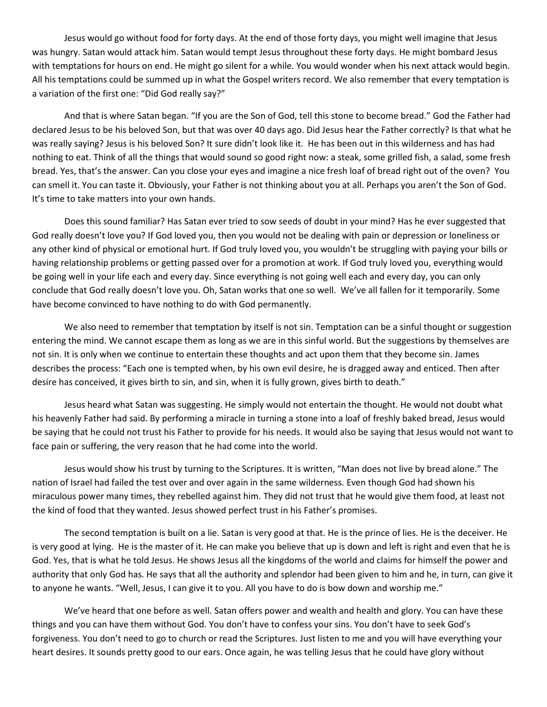Jesus would go without food for forty days. At the end of those forty days, you might well imagine that Jesus was hungry. Satan would attack him. Satan would tempt Jesus throughout these forty days. He might bombard Jesus with temptations for hours on end. He might go silent for a while. You would wonder when his next attack would begin. All his temptations could be summed up in what the Gospel writers record. We also remember that every temptation is a variation of the first one: "Did God really say?"

And that is where Satan began. "If you are the Son of God, tell this stone to become bread." God the Father had declared Jesus to be his beloved Son, but that was over 40 days ago. Did Jesus hear the Father correctly? Is that what he was really saying? Jesus is his beloved Son? It sure didn't look like it. He has been out in this wilderness and has had nothing to eat. Think of all the things that would sound so good right now: a steak, some grilled fish, a salad, some fresh bread. Yes, that's the answer. Can you close your eyes and imagine a nice fresh loaf of bread right out of the oven? You can smell it. You can taste it. Obviously, your Father is not thinking about you at all. Perhaps you aren't the Son of God. It's time to take matters into your own hands.

Does this sound familiar? Has Satan ever tried to sow seeds of doubt in your mind? Has he ever suggested that God really doesn't love you? If God loved you, then you would not be dealing with pain or depression or loneliness or any other kind of physical or emotional hurt. If God truly loved you, you wouldn't be struggling with paying your bills or having relationship problems or getting passed over for a promotion at work. If God truly loved you, everything would be going well in your life each and every day. Since everything is not going well each and every day, you can only conclude that God really doesn't love you. Oh, Satan works that one so well. We've all fallen for it temporarily. Some have become convinced to have nothing to do with God permanently.

We also need to remember that temptation by itself is not sin. Temptation can be a sinful thought or suggestion entering the mind. We cannot escape them as long as we are in this sinful world. But the suggestions by themselves are not sin. It is only when we continue to entertain these thoughts and act upon them that they become sin. James describes the process: "Each one is tempted when, by his own evil desire, he is dragged away and enticed. Then after desire has conceived, it gives birth to sin, and sin, when it is fully grown, gives birth to death."

Jesus heard what Satan was suggesting. He simply would not entertain the thought. He would not doubt what his heavenly Father had said. By performing a miracle in turning a stone into a loaf of freshly baked bread, Jesus would be saying that he could not trust his Father to provide for his needs. It would also be saying that Jesus would not want to face pain or suffering, the very reason that he had come into the world.

Jesus would show his trust by turning to the Scriptures. It is written, "Man does not live by bread alone." The nation of Israel had failed the test over and over again in the same wilderness. Even though God had shown his miraculous power many times, they rebelled against him. They did not trust that he would give them food, at least not the kind of food that they wanted. Jesus showed perfect trust in his Father's promises.

The second temptation is built on a lie. Satan is very good at that. He is the prince of lies. He is the deceiver. He is very good at lying. He is the master of it. He can make you believe that up is down and left is right and even that he is God. Yes, that is what he told Jesus. He shows Jesus all the kingdoms of the world and claims for himself the power and authority that only God has. He says that all the authority and splendor had been given to him and he, in turn, can give it to anyone he wants. "Well, Jesus, I can give it to you. All you have to do is bow down and worship me."

We've heard that one before as well. Satan offers power and wealth and health and glory. You can have these things and you can have them without God. You don't have to confess your sins. You don't have to seek God's forgiveness. You don't need to go to church or read the Scriptures. Just listen to me and you will have everything your heart desires. It sounds pretty good to our ears. Once again, he was telling Jesus that he could have glory without